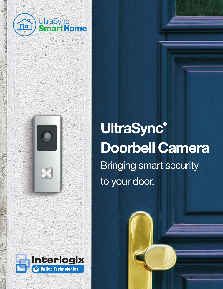

# **UltraSync®** Doorbell Camera Bringing smart security to your door.

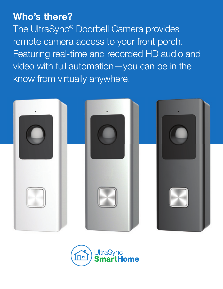## Who's there?

The UltraSync® Doorbell Camera provides remote camera access to your front porch. Featuring real-time and recorded HD audio and video with full automation—you can be in the know from virtually anywhere.



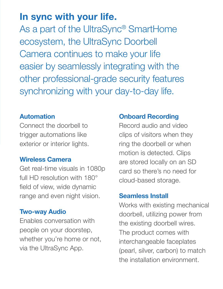## In sync with your life.

As a part of the UltraSync® SmartHome ecosystem, the UltraSync Doorbell Camera continues to make your life easier by seamlessly integrating with the other professional-grade security features synchronizing with your day-to-day life.

#### Automation

Connect the doorbell to trigger automations like exterior or interior lights.

#### Wireless Camera

Get real-time visuals in 1080p full HD resolution with 180° field of view, wide dynamic range and even night vision.

### Two-way Audio

Enables conversation with people on your doorstep, whether you're home or not, via the UltraSync App.

#### Onboard Recording

Record audio and video clips of visitors when they ring the doorbell or when motion is detected. Clips are stored locally on an SD card so there's no need for cloud-based storage.

#### Seamless Install

Works with existing mechanical doorbell, utilizing power from the existing doorbell wires. The product comes with interchangeable faceplates (pearl, silver, carbon) to match the installation environment.